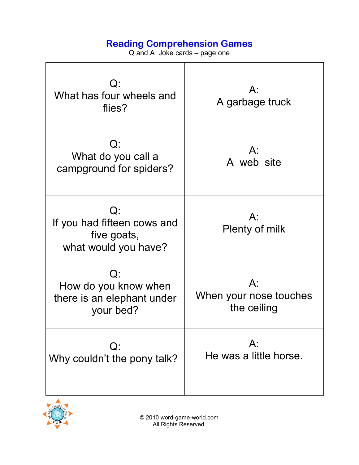Q and A Joke cards – page one

| $Q$ :<br>What has four wheels and<br>flies?                                 | $A$ :<br>A garbage truck                       |
|-----------------------------------------------------------------------------|------------------------------------------------|
| $Q$ :<br>What do you call a<br>campground for spiders?                      | $A$ :<br>A web site                            |
| $Q$ :<br>If you had fifteen cows and<br>five goats,<br>what would you have? | $A$ :<br>Plenty of milk                        |
| Q:<br>How do you know when<br>there is an elephant under<br>your bed?       | $A$ :<br>When your nose touches<br>the ceiling |
| $Q$ :<br>Why couldn't the pony talk?                                        | $A$ :<br>He was a little horse.                |

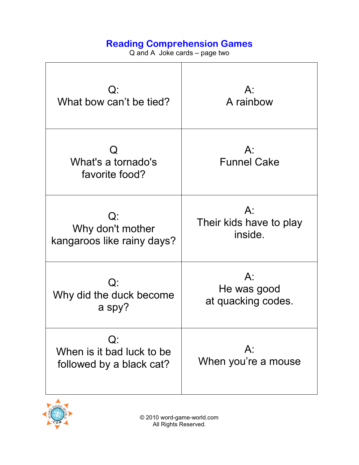Q and A Joke cards – page two

| $Q$ :                                                          | $A$ :                        |
|----------------------------------------------------------------|------------------------------|
| What bow can't be tied?                                        | A rainbow                    |
| What's a tornado's                                             | $A$ :                        |
| favorite food?                                                 | <b>Funnel Cake</b>           |
| $Q$ :                                                          | $A$ :                        |
| Why don't mother                                               | Their kids have to play      |
| kangaroos like rainy days?                                     | inside.                      |
| $Q$ :                                                          | $A$ :                        |
| Why did the duck become                                        | He was good                  |
| a spy?                                                         | at quacking codes.           |
| $Q$ :<br>When is it bad luck to be<br>followed by a black cat? | $A$ :<br>When you're a mouse |

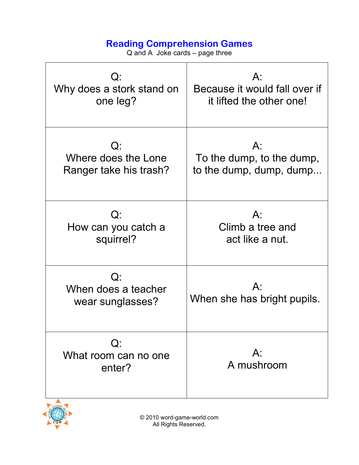Q and A Joke cards – page three

| $Q$ :                                            | $A$ :                             |
|--------------------------------------------------|-----------------------------------|
| Why does a stork stand on                        | Because it would fall over if     |
| one leg?                                         | it lifted the other one!          |
| $Q$ :                                            | $A$ :                             |
| Where does the Lone                              | To the dump, to the dump,         |
| Ranger take his trash?                           | to the dump, dump, dump           |
| Q:                                               | $A$ :                             |
| How can you catch a                              | Climb a tree and                  |
| squirrel?                                        | act like a nut.                   |
| $Q$ :<br>When does a teacher<br>wear sunglasses? | A:<br>When she has bright pupils. |
| $Q$ :<br>What room can no one<br>enter?          | $A$ :<br>A mushroom               |

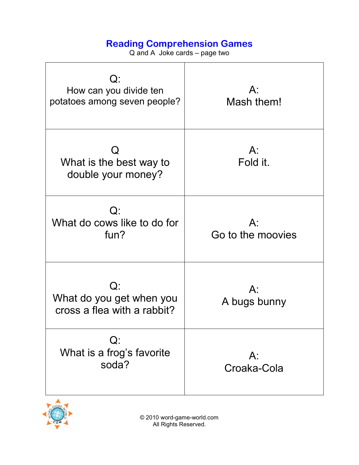Q and A Joke cards – page two

| $Q$ :<br>How can you divide ten<br>potatoes among seven people? | $A$ :<br>Mash them!         |
|-----------------------------------------------------------------|-----------------------------|
| What is the best way to<br>double your money?                   | $A$ :<br>Fold it.           |
| $Q$ :<br>What do cows like to do for<br>fun?                    | $A$ :<br>Go to the moovies  |
| Q:<br>What do you get when you<br>cross a flea with a rabbit?   | $A^{\cdot}$<br>A bugs bunny |
| $Q$ :<br>What is a frog's favorite<br>soda?                     | $A$ :<br>Croaka-Cola        |

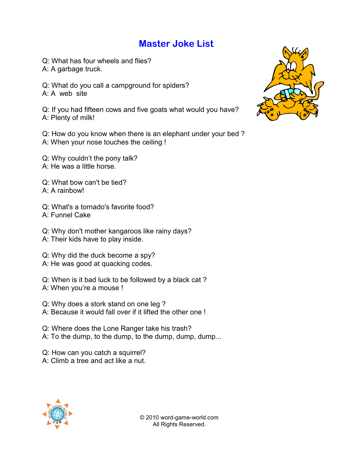#### **Master Joke List**

Q: What has four wheels and flies? A: A garbage truck.

Q: What do you call a campground for spiders? A: A web site

Q: If you had fifteen cows and five goats what would you have? A: Plenty of milk!

Q: How do you know when there is an elephant under your bed ? A: When your nose touches the ceiling !

Q: Why couldn't the pony talk? A: He was a little horse.

Q: What bow can't be tied? A: A rainbow!

Q: What's a tornado's favorite food? A: Funnel Cake

Q: Why don't mother kangaroos like rainy days? A: Their kids have to play inside.

Q: Why did the duck become a spy? A: He was good at quacking codes.

Q: When is it bad luck to be followed by a black cat ? A: When you're a mouse !

Q: Why does a stork stand on one leg ? A: Because it would fall over if it lifted the other one !

Q: Where does the Lone Ranger take his trash? A: To the dump, to the dump, to the dump, dump, dump...

Q: How can you catch a squirrel? A: Climb a tree and act like a nut.



© 2010 word-game-world.com All Rights Reserved.